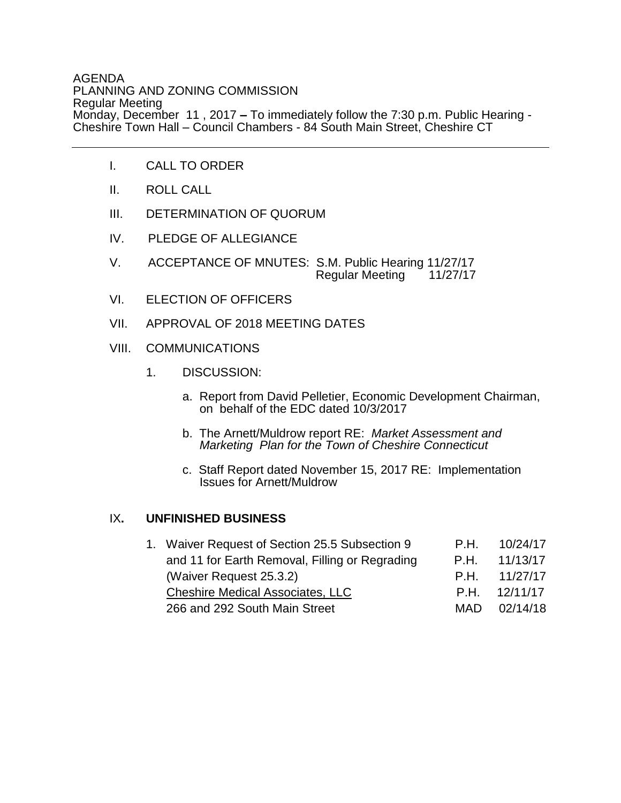## AGENDA PLANNING AND ZONING COMMISSION Regular Meeting Monday, December 11 , 2017 **–** To immediately follow the 7:30 p.m. Public Hearing - Cheshire Town Hall – Council Chambers - 84 South Main Street, Cheshire CT

- I. CALL TO ORDER
- II. ROLL CALL
- III. DETERMINATION OF QUORUM
- IV. PLEDGE OF ALLEGIANCE
- V. ACCEPTANCE OF MNUTES: S.M. Public Hearing 11/27/17 Regular Meeting 11/27/17
- VI. ELECTION OF OFFICERS
- VII. APPROVAL OF 2018 MEETING DATES
- VIII. COMMUNICATIONS
	- 1. DISCUSSION:
		- a. Report from David Pelletier, Economic Development Chairman, on behalf of the EDC dated 10/3/2017
		- b. The Arnett/Muldrow report RE: *Market Assessment and Marketing Plan for the Town of Cheshire Connecticut*
		- c. Staff Report dated November 15, 2017 RE: Implementation Issues for Arnett/Muldrow

## IX**. UNFINISHED BUSINESS**

| 1. Waiver Request of Section 25.5 Subsection 9 | P.H. | 10/24/17 |
|------------------------------------------------|------|----------|
| and 11 for Earth Removal, Filling or Regrading | P.H. | 11/13/17 |
| (Waiver Request 25.3.2)                        | P H  | 11/27/17 |
| <b>Cheshire Medical Associates, LLC</b>        | P.H. | 12/11/17 |
| 266 and 292 South Main Street                  | MAD. | 02/14/18 |